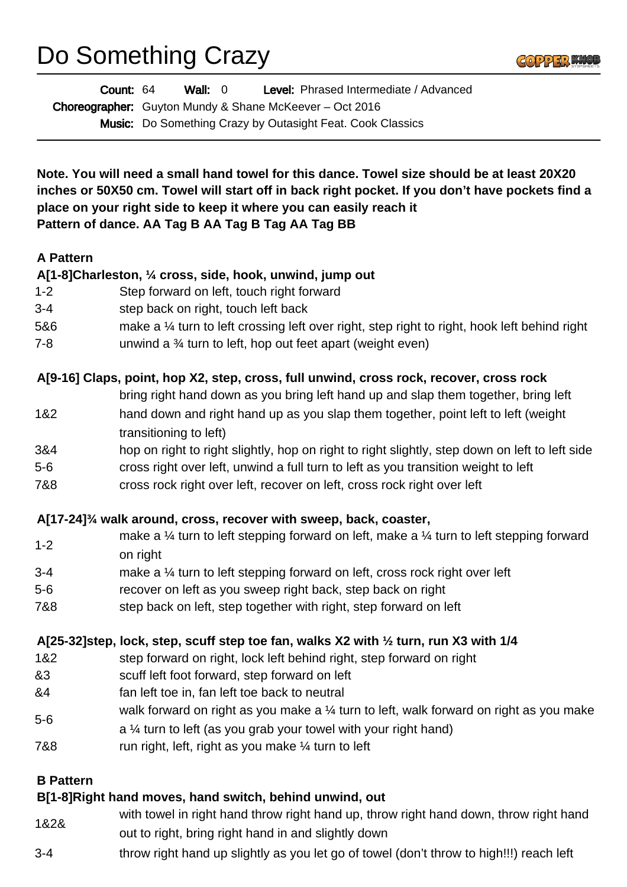Do Something Crazy



Wall: 0 **Level:** Phrased Intermediate / Advanced Choreographer: Guyton Mundy & Shane McKeever - Oct 2016 Music: Do Something Crazy by Outasight Feat. Cook Classics Count: 64

**Note. You will need a small hand towel for this dance. Towel size should be at least 20X20 inches or 50X50 cm. Towel will start off in back right pocket. If you don't have pockets find a place on your right side to keep it where you can easily reach it Pattern of dance. AA Tag B AA Tag B Tag AA Tag BB**

## **A Pattern**

## **A[1-8]Charleston, ¼ cross, side, hook, unwind, jump out**

- 1-2 Step forward on left, touch right forward
- 3-4 step back on right, touch left back
- 5&6 make a ¼ turn to left crossing left over right, step right to right, hook left behind right
- 7-8 unwind a ¾ turn to left, hop out feet apart (weight even)

#### **A[9-16] Claps, point, hop X2, step, cross, full unwind, cross rock, recover, cross rock**

- bring right hand down as you bring left hand up and slap them together, bring left
- 1&2 hand down and right hand up as you slap them together, point left to left (weight transitioning to left)
- 3&4 hop on right to right slightly, hop on right to right slightly, step down on left to left side
- 5-6 cross right over left, unwind a full turn to left as you transition weight to left
- 7&8 cross rock right over left, recover on left, cross rock right over left

## **A[17-24]¾ walk around, cross, recover with sweep, back, coaster,**

- 1-2 make a  $\frac{1}{4}$  turn to left stepping forward on left, make a  $\frac{1}{4}$  turn to left stepping forward on right
- 3-4 make a ¼ turn to left stepping forward on left, cross rock right over left
- 5-6 recover on left as you sweep right back, step back on right
- 7&8 step back on left, step together with right, step forward on left

## **A[25-32]step, lock, step, scuff step toe fan, walks X2 with ½ turn, run X3 with 1/4**

- 1&2 step forward on right, lock left behind right, step forward on right
- &3 scuff left foot forward, step forward on left
- &4 fan left toe in, fan left toe back to neutral
- 5-6 walk forward on right as you make a  $\frac{1}{4}$  turn to left, walk forward on right as you make
- a ¼ turn to left (as you grab your towel with your right hand)
- 7&8 run right, left, right as you make ¼ turn to left

## **B Pattern**

## **B[1-8]Right hand moves, hand switch, behind unwind, out**

- 1&2& with towel in right hand throw right hand up, throw right hand down, throw right hand out to right, bring right hand in and slightly down
- 3-4 throw right hand up slightly as you let go of towel (don't throw to high!!!) reach left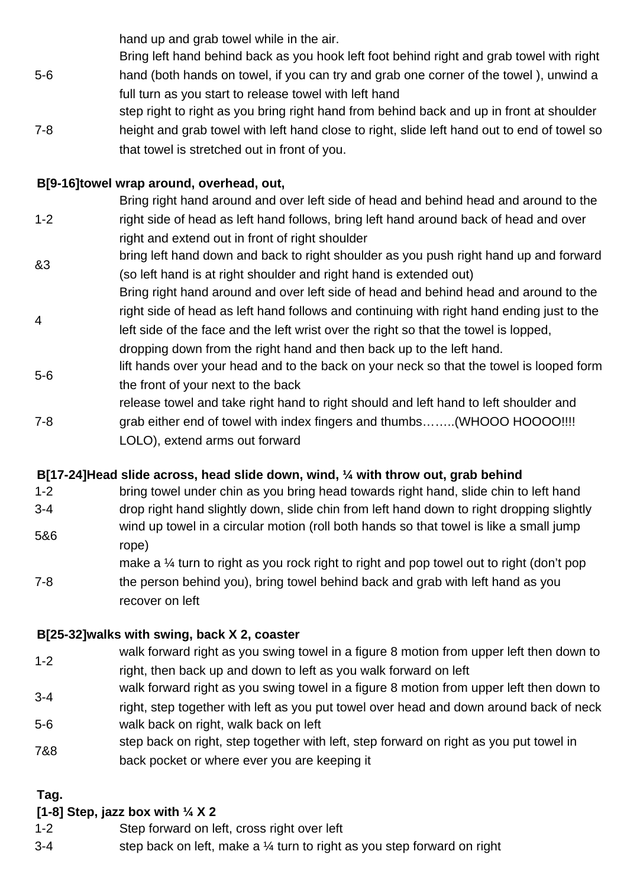hand up and grab towel while in the air.

- 5-6 Bring left hand behind back as you hook left foot behind right and grab towel with right hand (both hands on towel, if you can try and grab one corner of the towel ), unwind a full turn as you start to release towel with left hand
- 7-8 step right to right as you bring right hand from behind back and up in front at shoulder height and grab towel with left hand close to right, slide left hand out to end of towel so that towel is stretched out in front of you.

## **B[9-16]towel wrap around, overhead, out,**

- 1-2 Bring right hand around and over left side of head and behind head and around to the right side of head as left hand follows, bring left hand around back of head and over right and extend out in front of right shoulder
- &3 bring left hand down and back to right shoulder as you push right hand up and forward (so left hand is at right shoulder and right hand is extended out)
- 4 Bring right hand around and over left side of head and behind head and around to the right side of head as left hand follows and continuing with right hand ending just to the left side of the face and the left wrist over the right so that the towel is lopped,
	- dropping down from the right hand and then back up to the left hand.
- 5-6 lift hands over your head and to the back on your neck so that the towel is looped form the front of your next to the back
- release towel and take right hand to right should and left hand to left shoulder and
- 7-8 grab either end of towel with index fingers and thumbs……..(WHOOO HOOOO!!!! LOLO), extend arms out forward

## **B[17-24]Head slide across, head slide down, wind, ¼ with throw out, grab behind**

- 1-2 bring towel under chin as you bring head towards right hand, slide chin to left hand
- 3-4 drop right hand slightly down, slide chin from left hand down to right dropping slightly 5&6 wind up towel in a circular motion (roll both hands so that towel is like a small jump rope)
- 7-8 make a  $\frac{1}{4}$  turn to right as you rock right to right and pop towel out to right (don't pop the person behind you), bring towel behind back and grab with left hand as you
- recover on left

# **B[25-32]walks with swing, back X 2, coaster**

- 1-2 walk forward right as you swing towel in a figure 8 motion from upper left then down to right, then back up and down to left as you walk forward on left
- 3-4 walk forward right as you swing towel in a figure 8 motion from upper left then down to right, step together with left as you put towel over head and down around back of neck 5-6 walk back on right, walk back on left
- 7&8 step back on right, step together with left, step forward on right as you put towel in back pocket or where ever you are keeping it

## **Tag.**

## **[1-8] Step, jazz box with ¼ X 2**

- 1-2 Step forward on left, cross right over left
- 3-4 step back on left, make a ¼ turn to right as you step forward on right